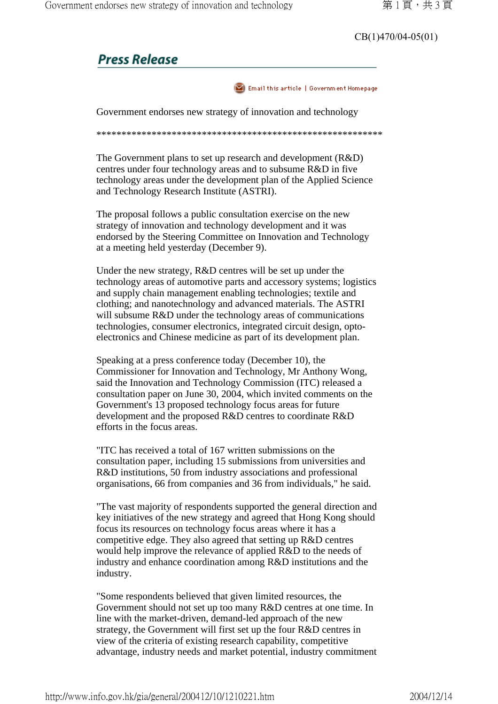CB(1)470/04-05(01)

## **Press Release**



Government endorses new strategy of innovation and technology

\*\*\*\*\*\*\*\*\*\*\*\*\*\*\*\*\*\*\*\*\*\*\*\*\*\*\*\*\*\*\*\*\*\*\*\*\*\*\*\*\*\*\*\*\*\*\*\*\*\*\*\*\*\*\*\*\*

The Government plans to set up research and development (R&D) centres under four technology areas and to subsume R&D in five technology areas under the development plan of the Applied Science and Technology Research Institute (ASTRI).

The proposal follows a public consultation exercise on the new strategy of innovation and technology development and it was endorsed by the Steering Committee on Innovation and Technology at a meeting held yesterday (December 9).

Under the new strategy, R&D centres will be set up under the technology areas of automotive parts and accessory systems; logistics and supply chain management enabling technologies; textile and clothing; and nanotechnology and advanced materials. The ASTRI will subsume R&D under the technology areas of communications technologies, consumer electronics, integrated circuit design, optoelectronics and Chinese medicine as part of its development plan.

Speaking at a press conference today (December 10), the Commissioner for Innovation and Technology, Mr Anthony Wong, said the Innovation and Technology Commission (ITC) released a consultation paper on June 30, 2004, which invited comments on the Government's 13 proposed technology focus areas for future development and the proposed R&D centres to coordinate R&D efforts in the focus areas.

"ITC has received a total of 167 written submissions on the consultation paper, including 15 submissions from universities and R&D institutions, 50 from industry associations and professional organisations, 66 from companies and 36 from individuals," he said.

"The vast majority of respondents supported the general direction and key initiatives of the new strategy and agreed that Hong Kong should focus its resources on technology focus areas where it has a competitive edge. They also agreed that setting up R&D centres would help improve the relevance of applied R&D to the needs of industry and enhance coordination among R&D institutions and the industry.

"Some respondents believed that given limited resources, the Government should not set up too many R&D centres at one time. In line with the market-driven, demand-led approach of the new strategy, the Government will first set up the four R&D centres in view of the criteria of existing research capability, competitive advantage, industry needs and market potential, industry commitment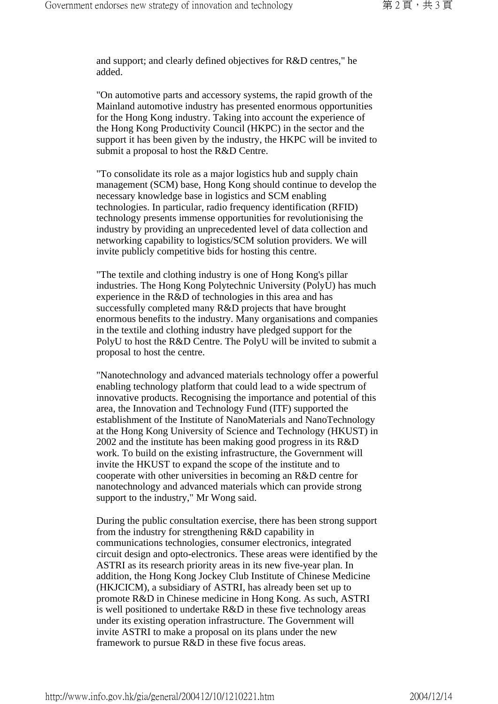and support; and clearly defined objectives for R&D centres," he added.

"On automotive parts and accessory systems, the rapid growth of the Mainland automotive industry has presented enormous opportunities for the Hong Kong industry. Taking into account the experience of the Hong Kong Productivity Council (HKPC) in the sector and the support it has been given by the industry, the HKPC will be invited to submit a proposal to host the R&D Centre.

"To consolidate its role as a major logistics hub and supply chain management (SCM) base, Hong Kong should continue to develop the necessary knowledge base in logistics and SCM enabling technologies. In particular, radio frequency identification (RFID) technology presents immense opportunities for revolutionising the industry by providing an unprecedented level of data collection and networking capability to logistics/SCM solution providers. We will invite publicly competitive bids for hosting this centre.

"The textile and clothing industry is one of Hong Kong's pillar industries. The Hong Kong Polytechnic University (PolyU) has much experience in the R&D of technologies in this area and has successfully completed many R&D projects that have brought enormous benefits to the industry. Many organisations and companies in the textile and clothing industry have pledged support for the PolyU to host the R&D Centre. The PolyU will be invited to submit a proposal to host the centre.

"Nanotechnology and advanced materials technology offer a powerful enabling technology platform that could lead to a wide spectrum of innovative products. Recognising the importance and potential of this area, the Innovation and Technology Fund (ITF) supported the establishment of the Institute of NanoMaterials and NanoTechnology at the Hong Kong University of Science and Technology (HKUST) in 2002 and the institute has been making good progress in its R&D work. To build on the existing infrastructure, the Government will invite the HKUST to expand the scope of the institute and to cooperate with other universities in becoming an R&D centre for nanotechnology and advanced materials which can provide strong support to the industry," Mr Wong said.

During the public consultation exercise, there has been strong support from the industry for strengthening R&D capability in communications technologies, consumer electronics, integrated circuit design and opto-electronics. These areas were identified by the ASTRI as its research priority areas in its new five-year plan. In addition, the Hong Kong Jockey Club Institute of Chinese Medicine (HKJCICM), a subsidiary of ASTRI, has already been set up to promote R&D in Chinese medicine in Hong Kong. As such, ASTRI is well positioned to undertake R&D in these five technology areas under its existing operation infrastructure. The Government will invite ASTRI to make a proposal on its plans under the new framework to pursue R&D in these five focus areas.